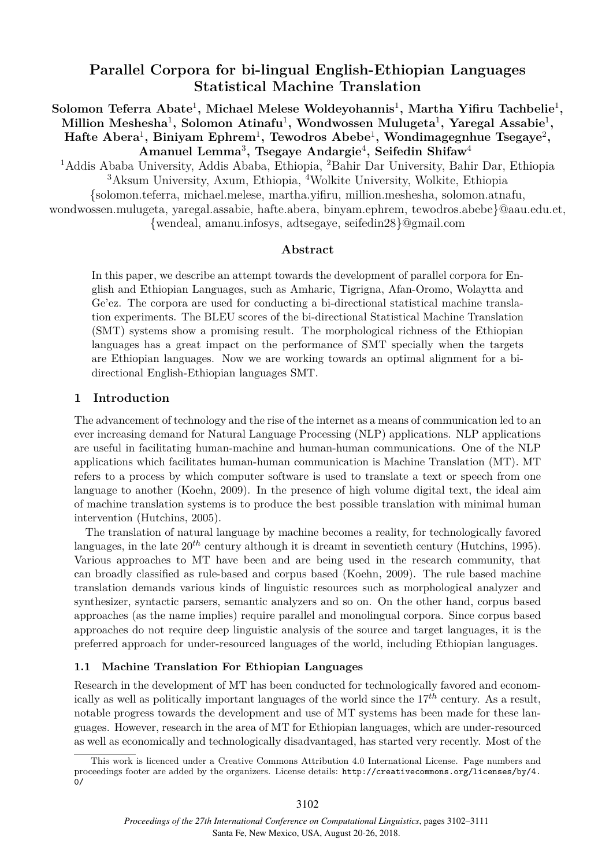# **Parallel Corpora for bi-lingual English-Ethiopian Languages Statistical Machine Translation**

 $S$ olomon Teferra Abate<sup>1</sup>, Michael Melese Woldeyohannis<sup>1</sup>, Martha Yifiru Tachbelie<sup>1</sup>, **Million Meshesha**<sup>1</sup> **, Solomon Atinafu**<sup>1</sup> **, Wondwossen Mulugeta**<sup>1</sup> **, Yaregal Assabie**<sup>1</sup> **, Hafte Abera**<sup>1</sup> **, Biniyam Ephrem**<sup>1</sup> **, Tewodros Abebe**<sup>1</sup> **, Wondimagegnhue Tsegaye**<sup>2</sup> **, Amanuel Lemma**<sup>3</sup> **, Tsegaye Andargie**<sup>4</sup> **, Seifedin Shifaw**<sup>4</sup>

<sup>1</sup>Addis Ababa University, Addis Ababa, Ethiopia, <sup>2</sup>Bahir Dar University, Bahir Dar, Ethiopia <sup>3</sup>Aksum University, Axum, Ethiopia, <sup>4</sup>Wolkite University, Wolkite, Ethiopia

{solomon.teferra, michael.melese, martha.yifiru, million.meshesha, solomon.atnafu, wondwossen.mulugeta, yaregal.assabie, hafte.abera, binyam.ephrem, tewodros.abebe}@aau.edu.et,

{wendeal, amanu.infosys, adtsegaye, seifedin28}@gmail.com

## **Abstract**

In this paper, we describe an attempt towards the development of parallel corpora for English and Ethiopian Languages, such as Amharic, Tigrigna, Afan-Oromo, Wolaytta and Ge'ez. The corpora are used for conducting a bi-directional statistical machine translation experiments. The BLEU scores of the bi-directional Statistical Machine Translation (SMT) systems show a promising result. The morphological richness of the Ethiopian languages has a great impact on the performance of SMT specially when the targets are Ethiopian languages. Now we are working towards an optimal alignment for a bidirectional English-Ethiopian languages SMT.

## **1 Introduction**

The advancement of technology and the rise of the internet as a means of communication led to an ever increasing demand for Natural Language Processing (NLP) applications. NLP applications are useful in facilitating human-machine and human-human communications. One of the NLP applications which facilitates human-human communication is Machine Translation (MT). MT refers to a process by which computer software is used to translate a text or speech from one language to another (Koehn, 2009). In the presence of high volume digital text, the ideal aim of machine translation systems is to produce the best possible translation with minimal human intervention (Hutchins, 2005).

The translation of natural language by machine becomes a reality, for technologically favored languages, in the late  $20^{th}$  century although it is dreamt in seventieth century (Hutchins, 1995). Various approaches to MT have been and are being used in the research community, that can broadly classified as rule-based and corpus based (Koehn, 2009). The rule based machine translation demands various kinds of linguistic resources such as morphological analyzer and synthesizer, syntactic parsers, semantic analyzers and so on. On the other hand, corpus based approaches (as the name implies) require parallel and monolingual corpora. Since corpus based approaches do not require deep linguistic analysis of the source and target languages, it is the preferred approach for under-resourced languages of the world, including Ethiopian languages.

## **1.1 Machine Translation For Ethiopian Languages**

Research in the development of MT has been conducted for technologically favored and economically as well as politically important languages of the world since the  $17^{th}$  century. As a result, notable progress towards the development and use of MT systems has been made for these languages. However, research in the area of MT for Ethiopian languages, which are under-resourced as well as economically and technologically disadvantaged, has started very recently. Most of the

This work is licenced under a Creative Commons Attribution 4.0 International License. Page numbers and proceedings footer are added by the organizers. License details: http://creativecommons.org/licenses/by/4. 0/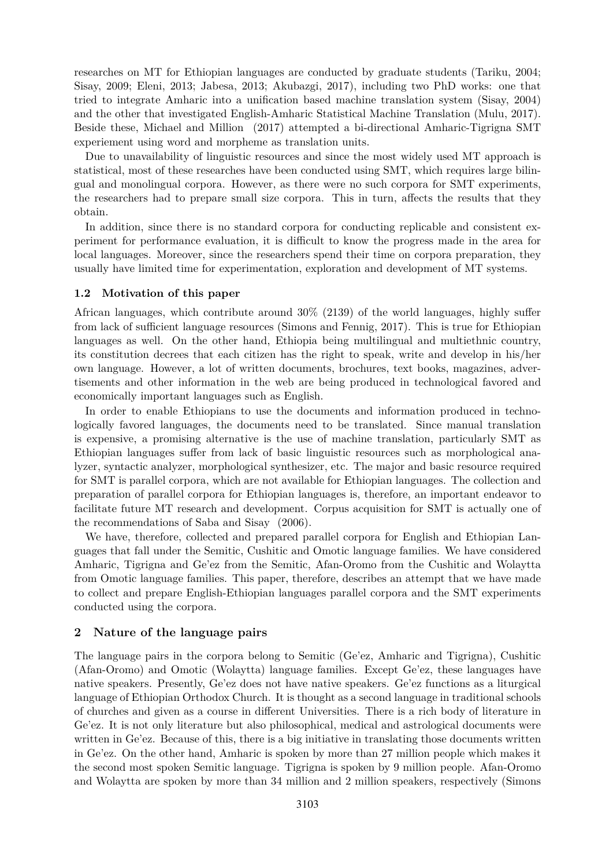researches on MT for Ethiopian languages are conducted by graduate students (Tariku, 2004; Sisay, 2009; Eleni, 2013; Jabesa, 2013; Akubazgi, 2017), including two PhD works: one that tried to integrate Amharic into a unification based machine translation system (Sisay, 2004) and the other that investigated English-Amharic Statistical Machine Translation (Mulu, 2017). Beside these, Michael and Million (2017) attempted a bi-directional Amharic-Tigrigna SMT experiement using word and morpheme as translation units.

Due to unavailability of linguistic resources and since the most widely used MT approach is statistical, most of these researches have been conducted using SMT, which requires large bilingual and monolingual corpora. However, as there were no such corpora for SMT experiments, the researchers had to prepare small size corpora. This in turn, affects the results that they obtain.

In addition, since there is no standard corpora for conducting replicable and consistent experiment for performance evaluation, it is difficult to know the progress made in the area for local languages. Moreover, since the researchers spend their time on corpora preparation, they usually have limited time for experimentation, exploration and development of MT systems.

#### **1.2 Motivation of this paper**

African languages, which contribute around 30% (2139) of the world languages, highly suffer from lack of sufficient language resources (Simons and Fennig, 2017). This is true for Ethiopian languages as well. On the other hand, Ethiopia being multilingual and multiethnic country, its constitution decrees that each citizen has the right to speak, write and develop in his/her own language. However, a lot of written documents, brochures, text books, magazines, advertisements and other information in the web are being produced in technological favored and economically important languages such as English.

In order to enable Ethiopians to use the documents and information produced in technologically favored languages, the documents need to be translated. Since manual translation is expensive, a promising alternative is the use of machine translation, particularly SMT as Ethiopian languages suffer from lack of basic linguistic resources such as morphological analyzer, syntactic analyzer, morphological synthesizer, etc. The major and basic resource required for SMT is parallel corpora, which are not available for Ethiopian languages. The collection and preparation of parallel corpora for Ethiopian languages is, therefore, an important endeavor to facilitate future MT research and development. Corpus acquisition for SMT is actually one of the recommendations of Saba and Sisay (2006).

We have, therefore, collected and prepared parallel corpora for English and Ethiopian Languages that fall under the Semitic, Cushitic and Omotic language families. We have considered Amharic, Tigrigna and Ge'ez from the Semitic, Afan-Oromo from the Cushitic and Wolaytta from Omotic language families. This paper, therefore, describes an attempt that we have made to collect and prepare English-Ethiopian languages parallel corpora and the SMT experiments conducted using the corpora.

## **2 Nature of the language pairs**

The language pairs in the corpora belong to Semitic (Ge'ez, Amharic and Tigrigna), Cushitic (Afan-Oromo) and Omotic (Wolaytta) language families. Except Ge'ez, these languages have native speakers. Presently, Ge'ez does not have native speakers. Ge'ez functions as a liturgical language of Ethiopian Orthodox Church. It is thought as a second language in traditional schools of churches and given as a course in different Universities. There is a rich body of literature in Ge'ez. It is not only literature but also philosophical, medical and astrological documents were written in Ge'ez. Because of this, there is a big initiative in translating those documents written in Ge'ez. On the other hand, Amharic is spoken by more than 27 million people which makes it the second most spoken Semitic language. Tigrigna is spoken by 9 million people. Afan-Oromo and Wolaytta are spoken by more than 34 million and 2 million speakers, respectively (Simons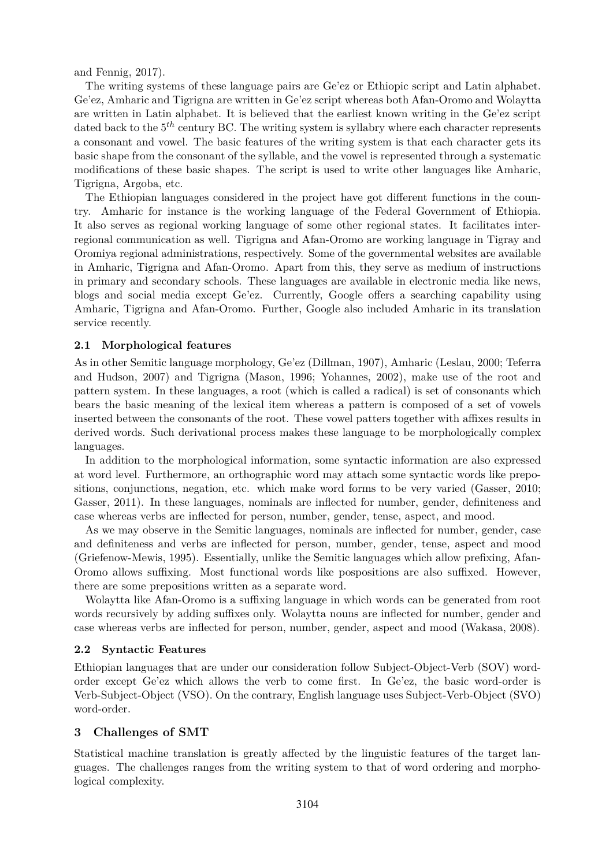and Fennig, 2017).

The writing systems of these language pairs are Ge'ez or Ethiopic script and Latin alphabet. Ge'ez, Amharic and Tigrigna are written in Ge'ez script whereas both Afan-Oromo and Wolaytta are written in Latin alphabet. It is believed that the earliest known writing in the Ge'ez script dated back to the  $5<sup>th</sup>$  century BC. The writing system is syllabry where each character represents a consonant and vowel. The basic features of the writing system is that each character gets its basic shape from the consonant of the syllable, and the vowel is represented through a systematic modifications of these basic shapes. The script is used to write other languages like Amharic, Tigrigna, Argoba, etc.

The Ethiopian languages considered in the project have got different functions in the country. Amharic for instance is the working language of the Federal Government of Ethiopia. It also serves as regional working language of some other regional states. It facilitates interregional communication as well. Tigrigna and Afan-Oromo are working language in Tigray and Oromiya regional administrations, respectively. Some of the governmental websites are available in Amharic, Tigrigna and Afan-Oromo. Apart from this, they serve as medium of instructions in primary and secondary schools. These languages are available in electronic media like news, blogs and social media except Ge'ez. Currently, Google offers a searching capability using Amharic, Tigrigna and Afan-Oromo. Further, Google also included Amharic in its translation service recently.

### **2.1 Morphological features**

As in other Semitic language morphology, Ge'ez (Dillman, 1907), Amharic (Leslau, 2000; Teferra and Hudson, 2007) and Tigrigna (Mason, 1996; Yohannes, 2002), make use of the root and pattern system. In these languages, a root (which is called a radical) is set of consonants which bears the basic meaning of the lexical item whereas a pattern is composed of a set of vowels inserted between the consonants of the root. These vowel patters together with affixes results in derived words. Such derivational process makes these language to be morphologically complex languages.

In addition to the morphological information, some syntactic information are also expressed at word level. Furthermore, an orthographic word may attach some syntactic words like prepositions, conjunctions, negation, etc. which make word forms to be very varied (Gasser, 2010; Gasser, 2011). In these languages, nominals are inflected for number, gender, definiteness and case whereas verbs are inflected for person, number, gender, tense, aspect, and mood.

As we may observe in the Semitic languages, nominals are inflected for number, gender, case and definiteness and verbs are inflected for person, number, gender, tense, aspect and mood (Griefenow-Mewis, 1995). Essentially, unlike the Semitic languages which allow prefixing, Afan-Oromo allows suffixing. Most functional words like pospositions are also suffixed. However, there are some prepositions written as a separate word.

Wolaytta like Afan-Oromo is a suffixing language in which words can be generated from root words recursively by adding suffixes only. Wolaytta nouns are inflected for number, gender and case whereas verbs are inflected for person, number, gender, aspect and mood (Wakasa, 2008).

#### **2.2 Syntactic Features**

Ethiopian languages that are under our consideration follow Subject-Object-Verb (SOV) wordorder except Ge'ez which allows the verb to come first. In Ge'ez, the basic word-order is Verb-Subject-Object (VSO). On the contrary, English language uses Subject-Verb-Object (SVO) word-order.

## **3 Challenges of SMT**

Statistical machine translation is greatly affected by the linguistic features of the target languages. The challenges ranges from the writing system to that of word ordering and morphological complexity.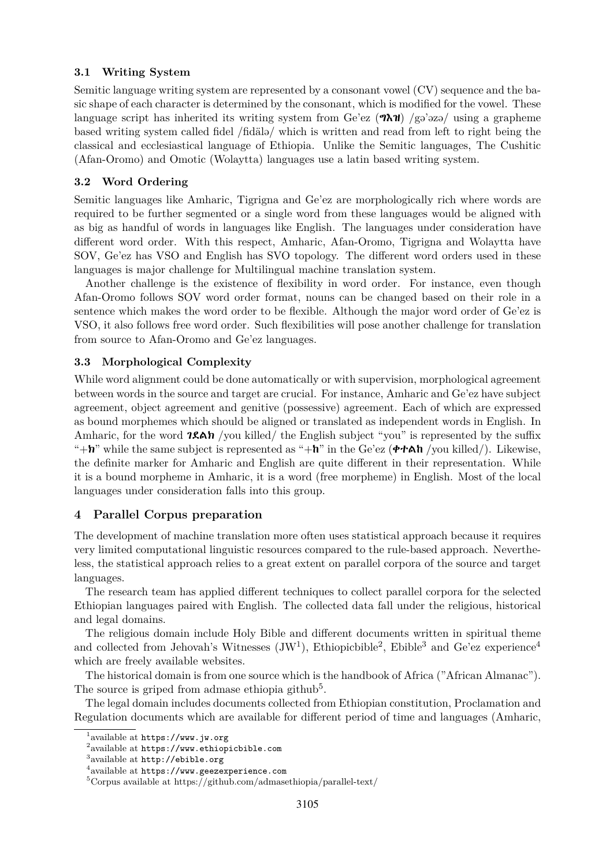### **3.1 Writing System**

Semitic language writing system are represented by a consonant vowel (CV) sequence and the basic shape of each character is determined by the consonant, which is modified for the vowel. These language script has inherited its writing system from Ge'ez  $(\partial \lambda \mathbf{u})$  /gə'əzə/ using a grapheme based writing system called fidel /fidälə/ which is written and read from left to right being the classical and ecclesiastical language of Ethiopia. Unlike the Semitic languages, The Cushitic (Afan-Oromo) and Omotic (Wolaytta) languages use a latin based writing system.

## **3.2 Word Ordering**

Semitic languages like Amharic, Tigrigna and Ge'ez are morphologically rich where words are required to be further segmented or a single word from these languages would be aligned with as big as handful of words in languages like English. The languages under consideration have different word order. With this respect, Amharic, Afan-Oromo, Tigrigna and Wolaytta have SOV, Ge'ez has VSO and English has SVO topology. The different word orders used in these languages is major challenge for Multilingual machine translation system.

Another challenge is the existence of flexibility in word order. For instance, even though Afan-Oromo follows SOV word order format, nouns can be changed based on their role in a sentence which makes the word order to be flexible. Although the major word order of Ge'ez is VSO, it also follows free word order. Such flexibilities will pose another challenge for translation from source to Afan-Oromo and Ge'ez languages.

### **3.3 Morphological Complexity**

While word alignment could be done automatically or with supervision, morphological agreement between words in the source and target are crucial. For instance, Amharic and Ge'ez have subject agreement, object agreement and genitive (possessive) agreement. Each of which are expressed as bound morphemes which should be aligned or translated as independent words in English. In Amharic, for the word  $7.8A$  /you killed/ the English subject "you" is represented by the suffix " $+n$ " while the same subject is represented as " $+n$ " in the Ge'ez ( $\Phi$  $\tau$ Ah /you killed/). Likewise, the definite marker for Amharic and English are quite different in their representation. While it is a bound morpheme in Amharic, it is a word (free morpheme) in English. Most of the local languages under consideration falls into this group.

## **4 Parallel Corpus preparation**

The development of machine translation more often uses statistical approach because it requires very limited computational linguistic resources compared to the rule-based approach. Nevertheless, the statistical approach relies to a great extent on parallel corpora of the source and target languages.

The research team has applied different techniques to collect parallel corpora for the selected Ethiopian languages paired with English. The collected data fall under the religious, historical and legal domains.

The religious domain include Holy Bible and different documents written in spiritual theme and collected from Jehovah's Witnesses  $(JW^1)$ , Ethiopicbible<sup>2</sup>, Ebible<sup>3</sup> and Ge'ez experience<sup>4</sup> which are freely available websites.

The historical domain is from one source which is the handbook of Africa ("African Almanac"). The source is griped from admase ethiopia github<sup>5</sup>.

The legal domain includes documents collected from Ethiopian constitution, Proclamation and Regulation documents which are available for different period of time and languages (Amharic,

<sup>1</sup> available at https://www.jw.org

 $^{2}$ available at <code>https://www.ethiopicbible.com</code>

 $^3$ available at  ${\tt http://ebible.org}$ 

<sup>4</sup> available at https://www.geezexperience.com

 $5$ Corpus available at https://github.com/admasethiopia/parallel-text/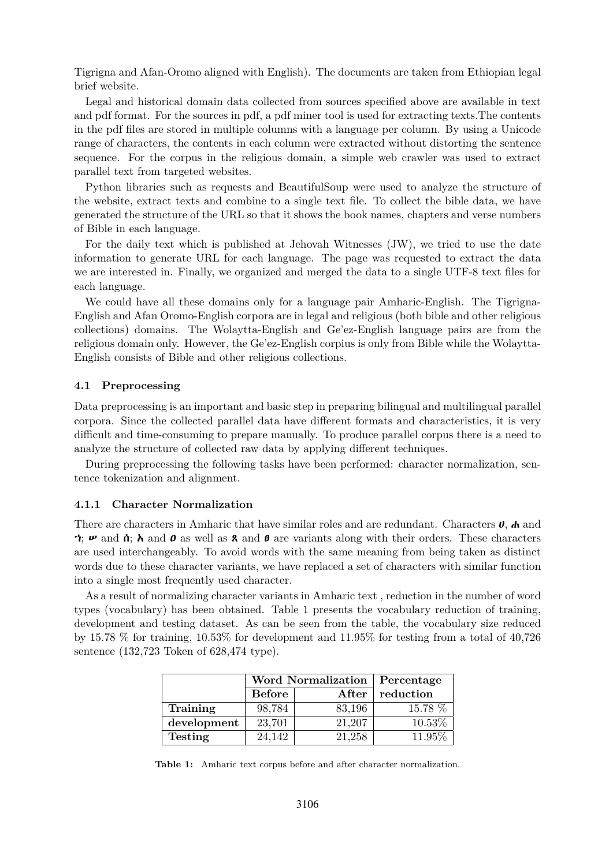Tigrigna and Afan-Oromo aligned with English). The documents are taken from Ethiopian legal brief website.

Legal and historical domain data collected from sources specified above are available in text and pdf format. For the sources in pdf, a pdf miner tool is used for extracting texts.The contents in the pdf files are stored in multiple columns with a language per column. By using a Unicode range of characters, the contents in each column were extracted without distorting the sentence sequence. For the corpus in the religious domain, a simple web crawler was used to extract parallel text from targeted websites.

Python libraries such as requests and BeautifulSoup were used to analyze the structure of the website, extract texts and combine to a single text file. To collect the bible data, we have generated the structure of the URL so that it shows the book names, chapters and verse numbers of Bible in each language.

For the daily text which is published at Jehovah Witnesses (JW), we tried to use the date information to generate URL for each language. The page was requested to extract the data we are interested in. Finally, we organized and merged the data to a single UTF-8 text files for each language.

We could have all these domains only for a language pair Amharic-English. The Tigrigna-English and Afan Oromo-English corpora are in legal and religious (both bible and other religious collections) domains. The Wolaytta-English and Ge'ez-English language pairs are from the religious domain only. However, the Ge'ez-English corpius is only from Bible while the Wolaytta-English consists of Bible and other religious collections.

#### **4.1 Preprocessing**

Data preprocessing is an important and basic step in preparing bilingual and multilingual parallel corpora. Since the collected parallel data have different formats and characteristics, it is very difficult and time-consuming to prepare manually. To produce parallel corpus there is a need to analyze the structure of collected raw data by applying different techniques.

During preprocessing the following tasks have been performed: character normalization, sentence tokenization and alignment.

#### **4.1.1 Character Normalization**

There are characters in Amharic that have similar roles and are redundant. Characters  $\bf{U}, \bf{A}$  and  $\gamma$ ;  $\nu$  and  $\alpha$ ;  $\lambda$  and  $\alpha$  as well as **8** and  $\theta$  are variants along with their orders. These characters are used interchangeably. To avoid words with the same meaning from being taken as distinct words due to these character variants, we have replaced a set of characters with similar function into a single most frequently used character.

As a result of normalizing character variants in Amharic text , reduction in the number of word types (vocabulary) has been obtained. Table 1 presents the vocabulary reduction of training, development and testing dataset. As can be seen from the table, the vocabulary size reduced by 15.78 % for training, 10.53% for development and 11.95% for testing from a total of 40,726 sentence (132,723 Token of 628,474 type).

|                |                        | <b>Word Normalization</b> | Percentage |
|----------------|------------------------|---------------------------|------------|
|                | <b>Before</b><br>After |                           | reduction  |
| Training       | 98,784                 | 83,196                    | 15.78 %    |
| development    | 23,701                 | 21,207                    | 10.53%     |
| <b>Testing</b> | 24,142                 | 21,258                    | 11.95%     |

**Table 1:** Amharic text corpus before and after character normalization.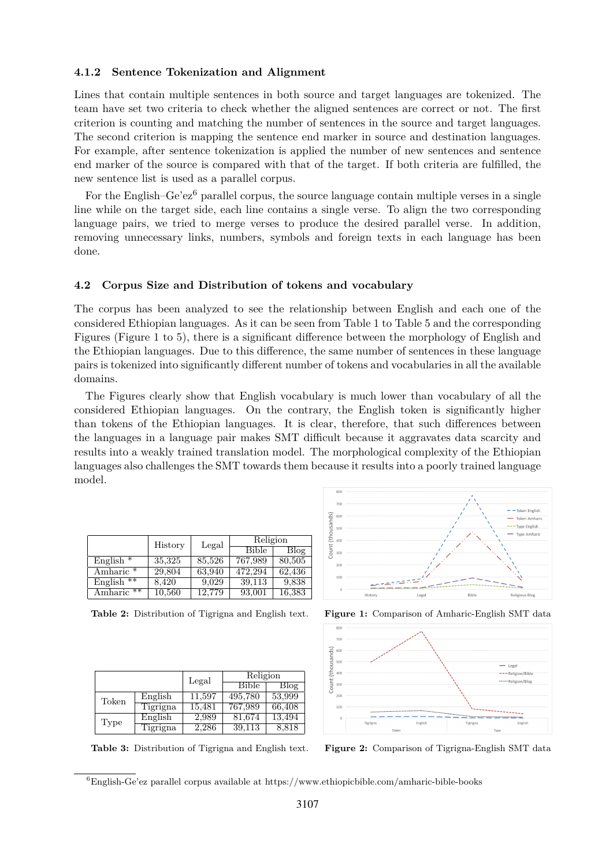#### **4.1.2 Sentence Tokenization and Alignment**

Lines that contain multiple sentences in both source and target languages are tokenized. The team have set two criteria to check whether the aligned sentences are correct or not. The first criterion is counting and matching the number of sentences in the source and target languages. The second criterion is mapping the sentence end marker in source and destination languages. For example, after sentence tokenization is applied the number of new sentences and sentence end marker of the source is compared with that of the target. If both criteria are fulfilled, the new sentence list is used as a parallel corpus.

For the English–Ge'ez<sup>6</sup> parallel corpus, the source language contain multiple verses in a single line while on the target side, each line contains a single verse. To align the two corresponding language pairs, we tried to merge verses to produce the desired parallel verse. In addition, removing unnecessary links, numbers, symbols and foreign texts in each language has been done.

#### **4.2 Corpus Size and Distribution of tokens and vocabulary**

The corpus has been analyzed to see the relationship between English and each one of the considered Ethiopian languages. As it can be seen from Table 1 to Table 5 and the corresponding Figures (Figure 1 to 5), there is a significant difference between the morphology of English and the Ethiopian languages. Due to this difference, the same number of sentences in these language pairs is tokenized into significantly different number of tokens and vocabularies in all the available domains.

The Figures clearly show that English vocabulary is much lower than vocabulary of all the considered Ethiopian languages. On the contrary, the English token is significantly higher than tokens of the Ethiopian languages. It is clear, therefore, that such differences between the languages in a language pair makes SMT difficult because it aggravates data scarcity and results into a weakly trained translation model. The morphological complexity of the Ethiopian languages also challenges the SMT towards them because it results into a poorly trained language model.

|                       | History | Legal  | Religion     |        |
|-----------------------|---------|--------|--------------|--------|
|                       |         |        | <b>Bible</b> | Blog   |
| English $*$           | 35,325  | 85,526 | 767,989      | 80,505 |
| Amharic <sup>*</sup>  | 29,804  | 63.940 | 472.294      | 62.436 |
| English $**$          | 8,420   | 9,029  | 39,113       | 9.838  |
| Amharic <sup>**</sup> | 10,560  | 12.779 | 93,001       | 16,383 |

|       |          | Legal  | Religion     |        |
|-------|----------|--------|--------------|--------|
|       |          |        | <b>Bible</b> | Blog   |
| Token | English  | 11.597 | 495,780      | 53,999 |
|       | Tigrigna | 15,481 | 767,989      | 66,408 |
| Type  | English  | 2,989  | 81,674       | 13,494 |
|       | Tigrigna | 2.286  | 39.113       | 8,818  |

-Token English  $\frac{1}{2}$ - Token Amhari - Type English Ĕ `ount Bibl Lega





**Table 3:** Distribution of Tigrigna and English text. **Figure 2:** Comparison of Tigrigna-English SMT data

 ${}^{6}$ English-Ge'ez parallel corpus available at https://www.ethiopicbible.com/amharic-bible-books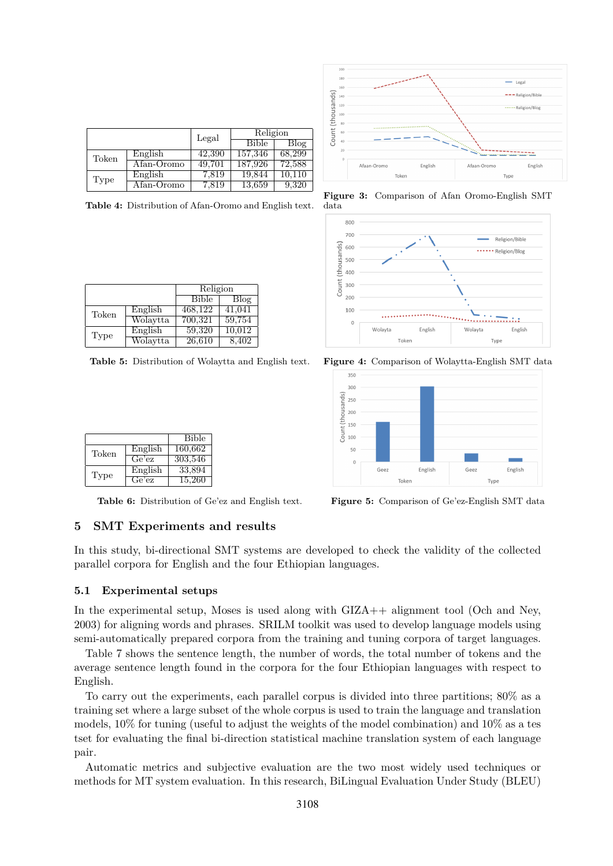|       |            | Legal  | Religion     |        |
|-------|------------|--------|--------------|--------|
|       |            |        | <b>Bible</b> | Blog   |
| Token | English    | 42,390 | 157,346      | 68,299 |
|       | Afan-Oromo | 49,701 | 187,926      | 72,588 |
| Type  | English    | 7,819  | 19,844       | 10.110 |
|       | Afan-Oromo | 7,819  | 13,659       | 9,320  |

**Table 4:** Distribution of Afan-Oromo and English text.

|       |          | Religion     |        |
|-------|----------|--------------|--------|
|       |          | <b>Bible</b> | Blog   |
| Token | English  | 468,122      | 41,041 |
|       | Wolaytta | 700,321      | 59,754 |
| Type  | English  | 59,320       | 10,012 |
|       | Wolaytta | 26,610       | 8.402  |

**Table 5:** Distribution of Wolaytta and English text. **Figure 4:** Comparison of Wolaytta-English SMT data

|       |         | <b>Bible</b> |
|-------|---------|--------------|
| Token | English | 160,662      |
|       | Ge'ez   | 303,546      |
| Type  | English | 33,894       |
|       | Ge'ez   | 15,260       |

**Table 6:** Distribution of Ge'ez and English text. **Figure 5:** Comparison of Ge'ez-English SMT data



**Figure 3:** Comparison of Afan Oromo-English SMT data





## **5 SMT Experiments and results**

In this study, bi-directional SMT systems are developed to check the validity of the collected parallel corpora for English and the four Ethiopian languages.

#### **5.1 Experimental setups**

In the experimental setup, Moses is used along with GIZA++ alignment tool (Och and Ney, 2003) for aligning words and phrases. SRILM toolkit was used to develop language models using semi-automatically prepared corpora from the training and tuning corpora of target languages.

Table 7 shows the sentence length, the number of words, the total number of tokens and the average sentence length found in the corpora for the four Ethiopian languages with respect to English.

To carry out the experiments, each parallel corpus is divided into three partitions; 80% as a training set where a large subset of the whole corpus is used to train the language and translation models, 10% for tuning (useful to adjust the weights of the model combination) and 10% as a tes tset for evaluating the final bi-direction statistical machine translation system of each language pair.

Automatic metrics and subjective evaluation are the two most widely used techniques or methods for MT system evaluation. In this research, BiLingual Evaluation Under Study (BLEU)

3108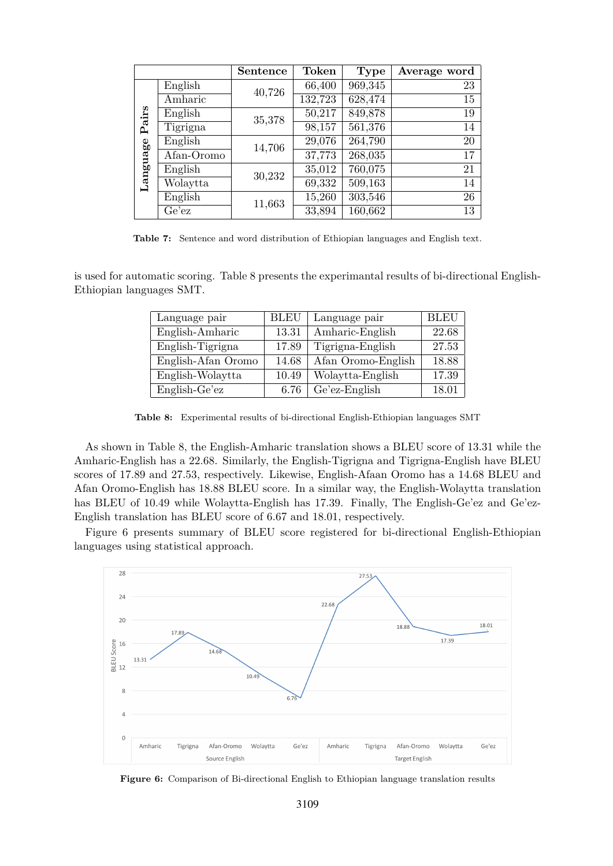|                   |            | <b>Sentence</b> | <b>Token</b> | <b>Type</b> | Average word |
|-------------------|------------|-----------------|--------------|-------------|--------------|
|                   | English    | 40,726          | 66,400       | 969,345     | 23           |
|                   | Amharic    |                 | 132,723      | 628,474     | 15           |
| Pairs<br>Language | English    | 35,378          | 50,217       | 849,878     | 19           |
|                   | Tigrigna   |                 | 98,157       | 561,376     | 14           |
|                   | English    | 14,706          | 29,076       | 264,790     | 20           |
|                   | Afan-Oromo |                 | 37,773       | 268,035     | 17           |
|                   | English    | 30,232          | 35,012       | 760,075     | 21           |
|                   | Wolaytta   |                 | 69,332       | 509,163     | 14           |
|                   | English    | 11,663          | 15,260       | 303,546     | 26           |
|                   | Ge'ez      |                 | 33,894       | 160,662     | 13           |

**Table 7:** Sentence and word distribution of Ethiopian languages and English text.

is used for automatic scoring. Table 8 presents the experimantal results of bi-directional English-Ethiopian languages SMT.

| Language pair      | <b>BLEU</b> | Language pair      | BLEU  |
|--------------------|-------------|--------------------|-------|
| English-Amharic    | 13.31       | Amharic-English    | 22.68 |
| English-Tigrigna   | 17.89       | Tigrigna-English   | 27.53 |
| English-Afan Oromo | 14.68       | Afan Oromo-English | 18.88 |
| English-Wolaytta   | 10.49       | Wolaytta-English   | 17.39 |
| English-Ge'ez      | 6.76        | $Ge'ez$ -English   | 18.01 |

**Table 8:** Experimental results of bi-directional English-Ethiopian languages SMT

As shown in Table 8, the English-Amharic translation shows a BLEU score of 13.31 while the Amharic-English has a 22.68. Similarly, the English-Tigrigna and Tigrigna-English have BLEU scores of 17.89 and 27.53, respectively. Likewise, English-Afaan Oromo has a 14.68 BLEU and Afan Oromo-English has 18.88 BLEU score. In a similar way, the English-Wolaytta translation has BLEU of 10.49 while Wolaytta-English has 17.39. Finally, The English-Ge'ez and Ge'ez-English translation has BLEU score of 6.67 and 18.01, respectively.

Figure 6 presents summary of BLEU score registered for bi-directional English-Ethiopian languages using statistical approach.



**Figure 6:** Comparison of Bi-directional English to Ethiopian language translation results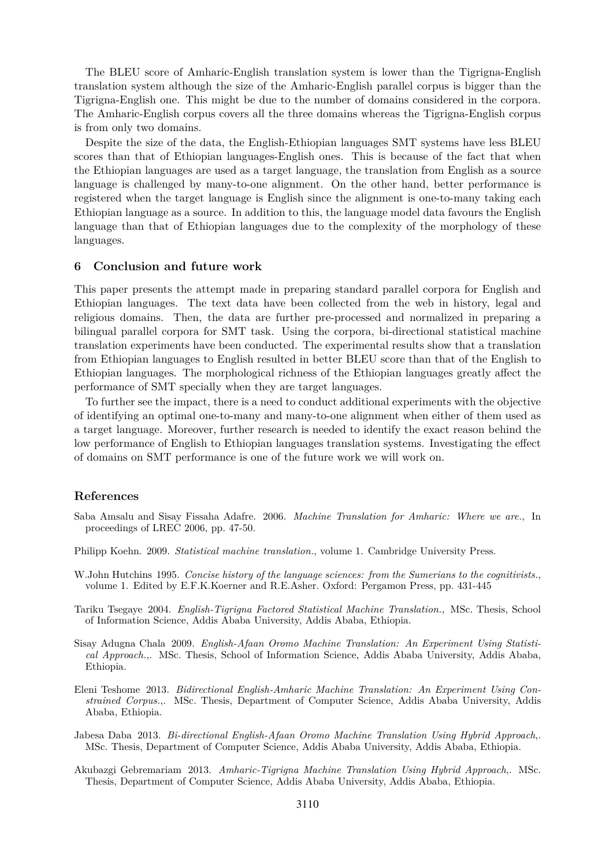The BLEU score of Amharic-English translation system is lower than the Tigrigna-English translation system although the size of the Amharic-English parallel corpus is bigger than the Tigrigna-English one. This might be due to the number of domains considered in the corpora. The Amharic-English corpus covers all the three domains whereas the Tigrigna-English corpus is from only two domains.

Despite the size of the data, the English-Ethiopian languages SMT systems have less BLEU scores than that of Ethiopian languages-English ones. This is because of the fact that when the Ethiopian languages are used as a target language, the translation from English as a source language is challenged by many-to-one alignment. On the other hand, better performance is registered when the target language is English since the alignment is one-to-many taking each Ethiopian language as a source. In addition to this, the language model data favours the English language than that of Ethiopian languages due to the complexity of the morphology of these languages.

#### **6 Conclusion and future work**

This paper presents the attempt made in preparing standard parallel corpora for English and Ethiopian languages. The text data have been collected from the web in history, legal and religious domains. Then, the data are further pre-processed and normalized in preparing a bilingual parallel corpora for SMT task. Using the corpora, bi-directional statistical machine translation experiments have been conducted. The experimental results show that a translation from Ethiopian languages to English resulted in better BLEU score than that of the English to Ethiopian languages. The morphological richness of the Ethiopian languages greatly affect the performance of SMT specially when they are target languages.

To further see the impact, there is a need to conduct additional experiments with the objective of identifying an optimal one-to-many and many-to-one alignment when either of them used as a target language. Moreover, further research is needed to identify the exact reason behind the low performance of English to Ethiopian languages translation systems. Investigating the effect of domains on SMT performance is one of the future work we will work on.

#### **References**

- Saba Amsalu and Sisay Fissaha Adafre. 2006. *Machine Translation for Amharic: Where we are.*, In proceedings of LREC 2006, pp. 47-50.
- Philipp Koehn. 2009. *Statistical machine translation.*, volume 1. Cambridge University Press.
- W.John Hutchins 1995. *Concise history of the language sciences: from the Sumerians to the cognitivists.*, volume 1. Edited by E.F.K.Koerner and R.E.Asher. Oxford: Pergamon Press, pp. 431-445
- Tariku Tsegaye 2004. *English-Tigrigna Factored Statistical Machine Translation.*, MSc. Thesis, School of Information Science, Addis Ababa University, Addis Ababa, Ethiopia.
- Sisay Adugna Chala 2009. *English-Afaan Oromo Machine Translation: An Experiment Using Statistical Approach.*,. MSc. Thesis, School of Information Science, Addis Ababa University, Addis Ababa, Ethiopia.
- Eleni Teshome 2013. *Bidirectional English-Amharic Machine Translation: An Experiment Using Constrained Corpus.*,. MSc. Thesis, Department of Computer Science, Addis Ababa University, Addis Ababa, Ethiopia.
- Jabesa Daba 2013. *Bi-directional English-Afaan Oromo Machine Translation Using Hybrid Approach*,. MSc. Thesis, Department of Computer Science, Addis Ababa University, Addis Ababa, Ethiopia.
- Akubazgi Gebremariam 2013. *Amharic-Tigrigna Machine Translation Using Hybrid Approach*,. MSc. Thesis, Department of Computer Science, Addis Ababa University, Addis Ababa, Ethiopia.